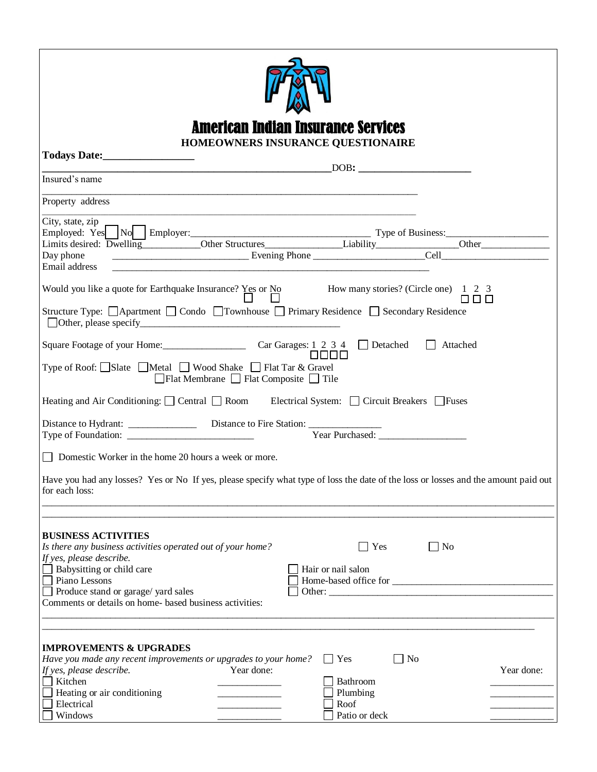| American Indian Insurance Services                                                                                                                      |  |  |  |  |  |
|---------------------------------------------------------------------------------------------------------------------------------------------------------|--|--|--|--|--|
| HOMEOWNERS INSURANCE QUESTIONAIRE                                                                                                                       |  |  |  |  |  |
|                                                                                                                                                         |  |  |  |  |  |
| Insured's name                                                                                                                                          |  |  |  |  |  |
| Property address                                                                                                                                        |  |  |  |  |  |
|                                                                                                                                                         |  |  |  |  |  |
| City, state, $zip \_$                                                                                                                                   |  |  |  |  |  |
|                                                                                                                                                         |  |  |  |  |  |
| Email address                                                                                                                                           |  |  |  |  |  |
|                                                                                                                                                         |  |  |  |  |  |
|                                                                                                                                                         |  |  |  |  |  |
| Structure Type: □ Apartment □ Condo □ Townhouse □ Primary Residence □ Secondary Residence                                                               |  |  |  |  |  |
| $\Box$ Attached                                                                                                                                         |  |  |  |  |  |
| 0000<br>Type of Roof: □Slate □Metal □ Wood Shake □ Flat Tar & Gravel                                                                                    |  |  |  |  |  |
| $\Box$ Flat Membrane $\Box$ Flat Composite $\Box$ Tile                                                                                                  |  |  |  |  |  |
| Heating and Air Conditioning: $\Box$ Central $\Box$ Room Electrical System: $\Box$ Circuit Breakers $\Box$ Fuses                                        |  |  |  |  |  |
|                                                                                                                                                         |  |  |  |  |  |
|                                                                                                                                                         |  |  |  |  |  |
| □ Domestic Worker in the home 20 hours a week or more.                                                                                                  |  |  |  |  |  |
| Have you had any losses? Yes or No If yes, please specify what type of loss the date of the loss or losses and the amount paid out<br>for each loss:    |  |  |  |  |  |
|                                                                                                                                                         |  |  |  |  |  |
| <b>BUSINESS ACTIVITIES</b>                                                                                                                              |  |  |  |  |  |
| Is there any business activities operated out of your home?<br>Yes<br>$\Box$ No<br>If yes, please describe.                                             |  |  |  |  |  |
| Babysitting or child care<br>Hair or nail salon                                                                                                         |  |  |  |  |  |
| Piano Lessons                                                                                                                                           |  |  |  |  |  |
| Produce stand or garage/ yard sales                                                                                                                     |  |  |  |  |  |
| Comments or details on home- based business activities:                                                                                                 |  |  |  |  |  |
|                                                                                                                                                         |  |  |  |  |  |
| <b>IMPROVEMENTS &amp; UPGRADES</b>                                                                                                                      |  |  |  |  |  |
| N <sub>o</sub><br>Have you made any recent improvements or upgrades to your home?<br>$\Box$ Yes<br>Year done:<br>Year done:<br>If yes, please describe. |  |  |  |  |  |
| Kitchen<br>Bathroom                                                                                                                                     |  |  |  |  |  |
| Heating or air conditioning<br>Plumbing                                                                                                                 |  |  |  |  |  |
| Electrical<br>Roof                                                                                                                                      |  |  |  |  |  |
| Windows<br>Patio or deck                                                                                                                                |  |  |  |  |  |